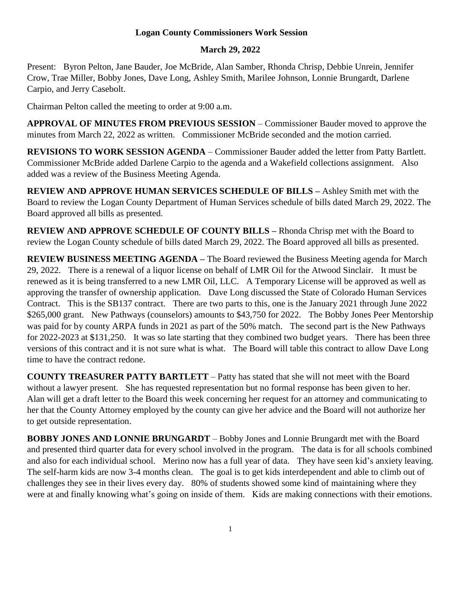## **Logan County Commissioners Work Session**

## **March 29, 2022**

Present: Byron Pelton, Jane Bauder, Joe McBride, Alan Samber, Rhonda Chrisp, Debbie Unrein, Jennifer Crow, Trae Miller, Bobby Jones, Dave Long, Ashley Smith, Marilee Johnson, Lonnie Brungardt, Darlene Carpio, and Jerry Casebolt.

Chairman Pelton called the meeting to order at 9:00 a.m.

**APPROVAL OF MINUTES FROM PREVIOUS SESSION** – Commissioner Bauder moved to approve the minutes from March 22, 2022 as written. Commissioner McBride seconded and the motion carried.

**REVISIONS TO WORK SESSION AGENDA** – Commissioner Bauder added the letter from Patty Bartlett. Commissioner McBride added Darlene Carpio to the agenda and a Wakefield collections assignment. Also added was a review of the Business Meeting Agenda.

**REVIEW AND APPROVE HUMAN SERVICES SCHEDULE OF BILLS –** Ashley Smith met with the Board to review the Logan County Department of Human Services schedule of bills dated March 29, 2022. The Board approved all bills as presented.

**REVIEW AND APPROVE SCHEDULE OF COUNTY BILLS –** Rhonda Chrisp met with the Board to review the Logan County schedule of bills dated March 29, 2022. The Board approved all bills as presented.

**REVIEW BUSINESS MEETING AGENDA –** The Board reviewed the Business Meeting agenda for March 29, 2022. There is a renewal of a liquor license on behalf of LMR Oil for the Atwood Sinclair. It must be renewed as it is being transferred to a new LMR Oil, LLC. A Temporary License will be approved as well as approving the transfer of ownership application. Dave Long discussed the State of Colorado Human Services Contract. This is the SB137 contract. There are two parts to this, one is the January 2021 through June 2022 \$265,000 grant. New Pathways (counselors) amounts to \$43,750 for 2022. The Bobby Jones Peer Mentorship was paid for by county ARPA funds in 2021 as part of the 50% match. The second part is the New Pathways for 2022-2023 at \$131,250. It was so late starting that they combined two budget years. There has been three versions of this contract and it is not sure what is what. The Board will table this contract to allow Dave Long time to have the contract redone.

**COUNTY TREASURER PATTY BARTLETT** – Patty has stated that she will not meet with the Board without a lawyer present. She has requested representation but no formal response has been given to her. Alan will get a draft letter to the Board this week concerning her request for an attorney and communicating to her that the County Attorney employed by the county can give her advice and the Board will not authorize her to get outside representation.

**BOBBY JONES AND LONNIE BRUNGARDT** – Bobby Jones and Lonnie Brungardt met with the Board and presented third quarter data for every school involved in the program. The data is for all schools combined and also for each individual school. Merino now has a full year of data. They have seen kid's anxiety leaving. The self-harm kids are now 3-4 months clean. The goal is to get kids interdependent and able to climb out of challenges they see in their lives every day. 80% of students showed some kind of maintaining where they were at and finally knowing what's going on inside of them. Kids are making connections with their emotions.